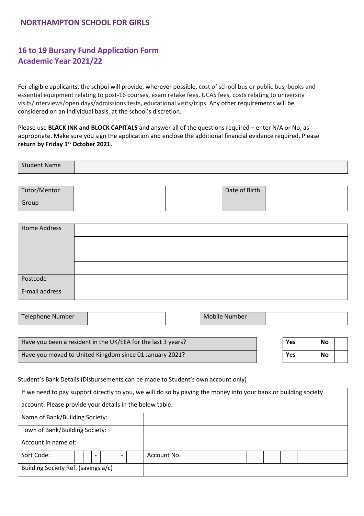# **16 to 19 Bursary Fund Application Form Academic Year 2021/22**

For eligible applicants, the school will provide, wherever possible, cost of school bus or public bus, books and essential equipment relating to post-16 courses, exam retake fees, UCAS fees, costs relating to university visits/interviews/open days/admissions tests, educational visits/trips. Any other requirements will be considered on an individual basis, at the school's discretion.

Please use **BLACK INK and BLOCK CAPITALS** and answer all of the questions required – enter N/A or No, as appropriate. Make sure you sign the application and enclose the additional financial evidence required. Please **return by Friday 1st October 2021.**

| <b>Student Name</b> |  |
|---------------------|--|
|                     |  |
|                     |  |
|                     |  |

| Tutor/Mentor |  | Date of Birth |  |
|--------------|--|---------------|--|
| Group        |  |               |  |

| Home Address   |  |
|----------------|--|
|                |  |
|                |  |
|                |  |
| Postcode       |  |
| E-mail address |  |

|  |  | Telephone Number |  |  | Mobile<br><b>Number</b> |  |
|--|--|------------------|--|--|-------------------------|--|
|--|--|------------------|--|--|-------------------------|--|

| Have you been a resident in the UK/EEA for the last 3 years? | Yes | No |  |
|--------------------------------------------------------------|-----|----|--|
| Have you moved to United Kingdom since 01 January 2021?      | Yes | No |  |

#### Student's Bank Details (Disbursements can be made to Student's own account only)

|                                                          | If we need to pay support directly to you, we will do so by paying the money into your bank or building society |
|----------------------------------------------------------|-----------------------------------------------------------------------------------------------------------------|
| account. Please provide your details in the below table: |                                                                                                                 |
| Name of Bank/Building Society:                           |                                                                                                                 |
| Town of Bank/Building Society:                           |                                                                                                                 |
| Account in name of:                                      |                                                                                                                 |
| Sort Code:<br>$\overline{\phantom{a}}$                   | Account No.                                                                                                     |
| Building Society Ref. (savings a/c)                      |                                                                                                                 |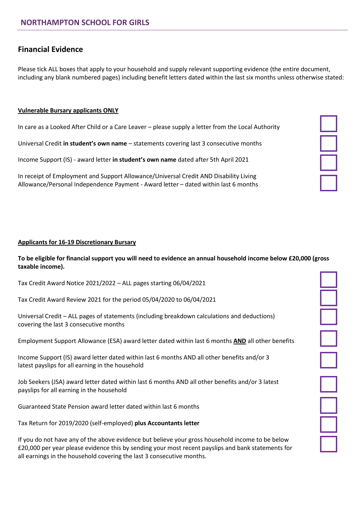## **Financial Evidence**

Please tick ALL boxes that apply to your household and supply relevant supporting evidence (the entire document, including any blank numbered pages) including benefit letters dated within the last six months unless otherwise stated:

#### **Vulnerable Bursary applicants ONLY**

In care as a Looked After Child or a Care Leaver – please supply a letter from the Local Authority

Universal Credit **in student's own name** – statements covering last 3 consecutive months

Income Support (IS) - award letter **in student's own name** dated after 5th April 2021

In receipt of Employment and Support Allowance/Universal Credit AND Disability Living Allowance/Personal Independence Payment - Award letter – dated within last 6 months



**To be eligible for financial support you will need to evidence an annual household income below £20,000 (gross taxable income).** 

Tax Credit Award Notice 2021/2022 – ALL pages starting 06/04/2021

Tax Credit Award Review 2021 for the period 05/04/2020 to 06/04/2021

Universal Credit – ALL pages of statements (including breakdown calculations and deductions) covering the last 3 consecutive months

Employment Support Allowance (ESA) award letter dated within last 6 months **AND** all other benefits

Income Support (IS) award letter dated within last 6 months AND all other benefits and/or 3 latest payslips for all earning in the household

Job Seekers (JSA) award letter dated within last 6 months AND all other benefits and/or 3 latest payslips for all earning in the household

Guaranteed State Pension award letter dated within last 6 months

Tax Return for 2019/2020 (self-employed) **plus Accountants letter**

If you do not have any of the above evidence but believe your gross household income to be below £20,000 per year please evidence this by sending your most recent payslips and bank statements for all earnings in the household covering the last 3 consecutive months.